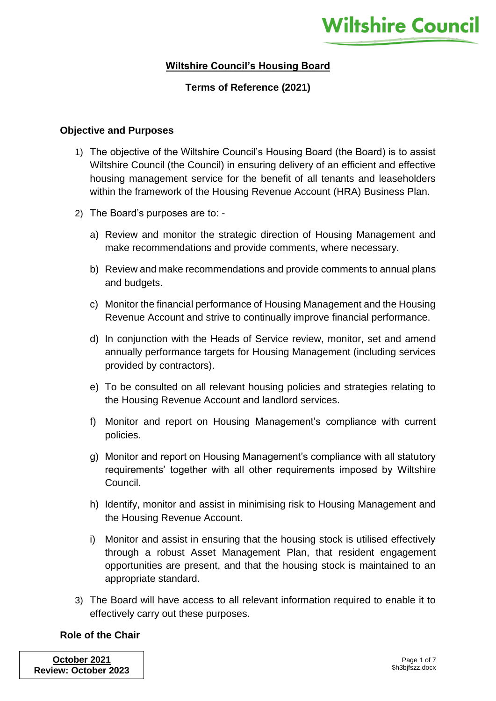# **Wiltshire Council's Housing Board**

# **Terms of Reference (2021)**

#### **Objective and Purposes**

- 1) The objective of the Wiltshire Council's Housing Board (the Board) is to assist Wiltshire Council (the Council) in ensuring delivery of an efficient and effective housing management service for the benefit of all tenants and leaseholders within the framework of the Housing Revenue Account (HRA) Business Plan.
- 2) The Board's purposes are to:
	- a) Review and monitor the strategic direction of Housing Management and make recommendations and provide comments, where necessary.
	- b) Review and make recommendations and provide comments to annual plans and budgets.
	- c) Monitor the financial performance of Housing Management and the Housing Revenue Account and strive to continually improve financial performance.
	- d) In conjunction with the Heads of Service review, monitor, set and amend annually performance targets for Housing Management (including services provided by contractors).
	- e) To be consulted on all relevant housing policies and strategies relating to the Housing Revenue Account and landlord services.
	- f) Monitor and report on Housing Management's compliance with current policies.
	- g) Monitor and report on Housing Management's compliance with all statutory requirements' together with all other requirements imposed by Wiltshire Council.
	- h) Identify, monitor and assist in minimising risk to Housing Management and the Housing Revenue Account.
	- i) Monitor and assist in ensuring that the housing stock is utilised effectively through a robust Asset Management Plan, that resident engagement opportunities are present, and that the housing stock is maintained to an appropriate standard.
- 3) The Board will have access to all relevant information required to enable it to effectively carry out these purposes.

### **Role of the Chair**

**October 2021 Review: October 2023**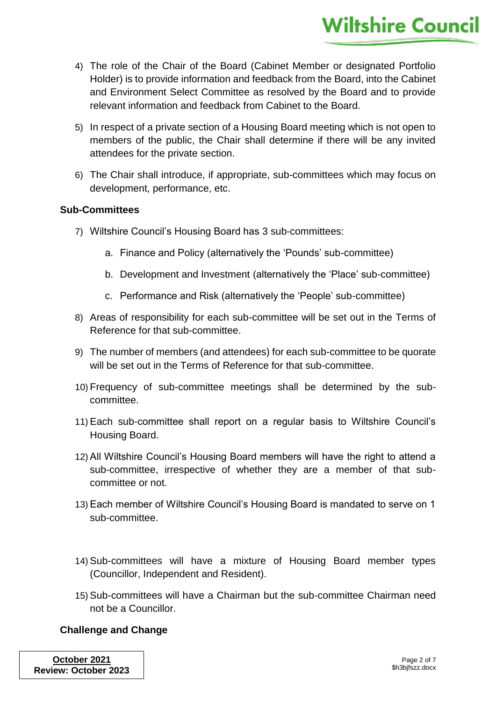- 4) The role of the Chair of the Board (Cabinet Member or designated Portfolio Holder) is to provide information and feedback from the Board, into the Cabinet and Environment Select Committee as resolved by the Board and to provide relevant information and feedback from Cabinet to the Board.
- 5) In respect of a private section of a Housing Board meeting which is not open to members of the public, the Chair shall determine if there will be any invited attendees for the private section.
- 6) The Chair shall introduce, if appropriate, sub-committees which may focus on development, performance, etc.

### **Sub-Committees**

- 7) Wiltshire Council's Housing Board has 3 sub-committees:
	- a. Finance and Policy (alternatively the 'Pounds' sub-committee)
	- b. Development and Investment (alternatively the 'Place' sub-committee)
	- c. Performance and Risk (alternatively the 'People' sub-committee)
- 8) Areas of responsibility for each sub-committee will be set out in the Terms of Reference for that sub-committee.
- 9) The number of members (and attendees) for each sub-committee to be quorate will be set out in the Terms of Reference for that sub-committee.
- 10) Frequency of sub-committee meetings shall be determined by the subcommittee.
- 11) Each sub-committee shall report on a regular basis to Wiltshire Council's Housing Board.
- 12) All Wiltshire Council's Housing Board members will have the right to attend a sub-committee, irrespective of whether they are a member of that subcommittee or not.
- 13) Each member of Wiltshire Council's Housing Board is mandated to serve on 1 sub-committee.
- 14) Sub-committees will have a mixture of Housing Board member types (Councillor, Independent and Resident).
- 15) Sub-committees will have a Chairman but the sub-committee Chairman need not be a Councillor.

### **Challenge and Change**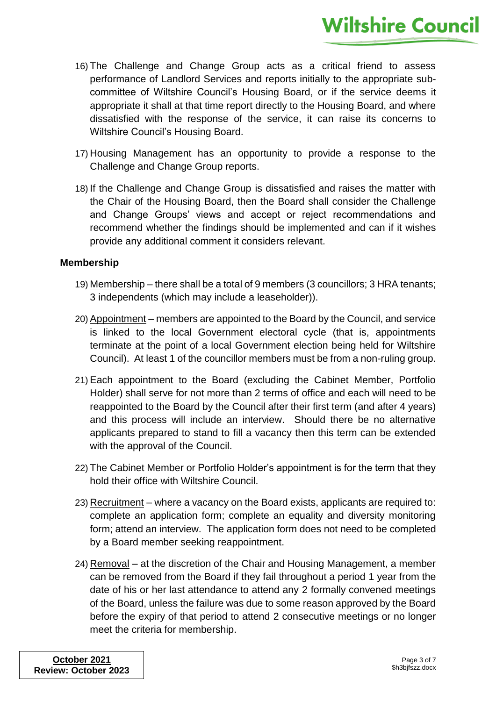- 16) The Challenge and Change Group acts as a critical friend to assess performance of Landlord Services and reports initially to the appropriate subcommittee of Wiltshire Council's Housing Board, or if the service deems it appropriate it shall at that time report directly to the Housing Board, and where dissatisfied with the response of the service, it can raise its concerns to Wiltshire Council's Housing Board.
- 17) Housing Management has an opportunity to provide a response to the Challenge and Change Group reports.
- 18) If the Challenge and Change Group is dissatisfied and raises the matter with the Chair of the Housing Board, then the Board shall consider the Challenge and Change Groups' views and accept or reject recommendations and recommend whether the findings should be implemented and can if it wishes provide any additional comment it considers relevant.

### **Membership**

- 19) Membership there shall be a total of 9 members (3 councillors; 3 HRA tenants; 3 independents (which may include a leaseholder)).
- 20) Appointment members are appointed to the Board by the Council, and service is linked to the local Government electoral cycle (that is, appointments terminate at the point of a local Government election being held for Wiltshire Council). At least 1 of the councillor members must be from a non-ruling group.
- 21) Each appointment to the Board (excluding the Cabinet Member, Portfolio Holder) shall serve for not more than 2 terms of office and each will need to be reappointed to the Board by the Council after their first term (and after 4 years) and this process will include an interview. Should there be no alternative applicants prepared to stand to fill a vacancy then this term can be extended with the approval of the Council.
- 22) The Cabinet Member or Portfolio Holder's appointment is for the term that they hold their office with Wiltshire Council.
- 23) Recruitment where a vacancy on the Board exists, applicants are required to: complete an application form; complete an equality and diversity monitoring form; attend an interview. The application form does not need to be completed by a Board member seeking reappointment.
- 24) Removal at the discretion of the Chair and Housing Management, a member can be removed from the Board if they fail throughout a period 1 year from the date of his or her last attendance to attend any 2 formally convened meetings of the Board, unless the failure was due to some reason approved by the Board before the expiry of that period to attend 2 consecutive meetings or no longer meet the criteria for membership.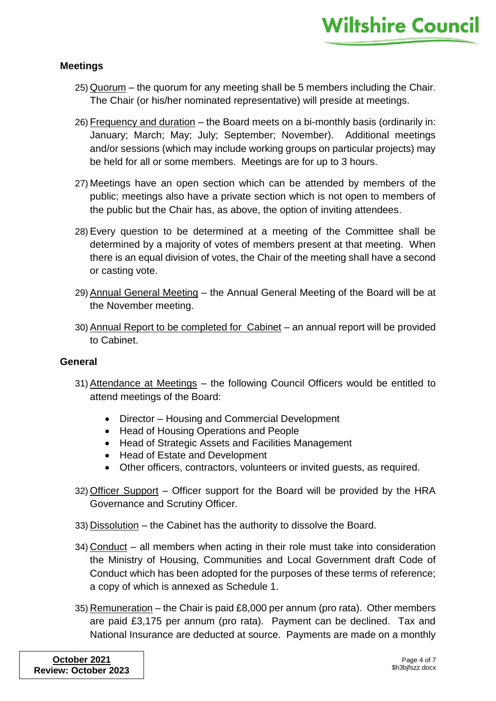### **Meetings**

- 25) Quorum the quorum for any meeting shall be 5 members including the Chair. The Chair (or his/her nominated representative) will preside at meetings.
- 26) Frequency and duration the Board meets on a bi-monthly basis (ordinarily in: January; March; May; July; September; November). Additional meetings and/or sessions (which may include working groups on particular projects) may be held for all or some members. Meetings are for up to 3 hours.
- 27) Meetings have an open section which can be attended by members of the public; meetings also have a private section which is not open to members of the public but the Chair has, as above, the option of inviting attendees.
- 28) Every question to be determined at a meeting of the Committee shall be determined by a majority of votes of members present at that meeting. When there is an equal division of votes, the Chair of the meeting shall have a second or casting vote.
- 29) Annual General Meeting the Annual General Meeting of the Board will be at the November meeting.
- 30) Annual Report to be completed for Cabinet an annual report will be provided to Cabinet.

### **General**

- 31) Attendance at Meetings the following Council Officers would be entitled to attend meetings of the Board:
	- Director Housing and Commercial Development
	- Head of Housing Operations and People
	- Head of Strategic Assets and Facilities Management
	- Head of Estate and Development
	- Other officers, contractors, volunteers or invited guests, as required.
- 32) Officer Support Officer support for the Board will be provided by the HRA Governance and Scrutiny Officer.
- 33) Dissolution the Cabinet has the authority to dissolve the Board.
- 34) Conduct all members when acting in their role must take into consideration the Ministry of Housing, Communities and Local Government draft Code of Conduct which has been adopted for the purposes of these terms of reference; a copy of which is annexed as Schedule 1.
- 35) Remuneration the Chair is paid £8,000 per annum (pro rata). Other members are paid £3,175 per annum (pro rata). Payment can be declined. Tax and National Insurance are deducted at source. Payments are made on a monthly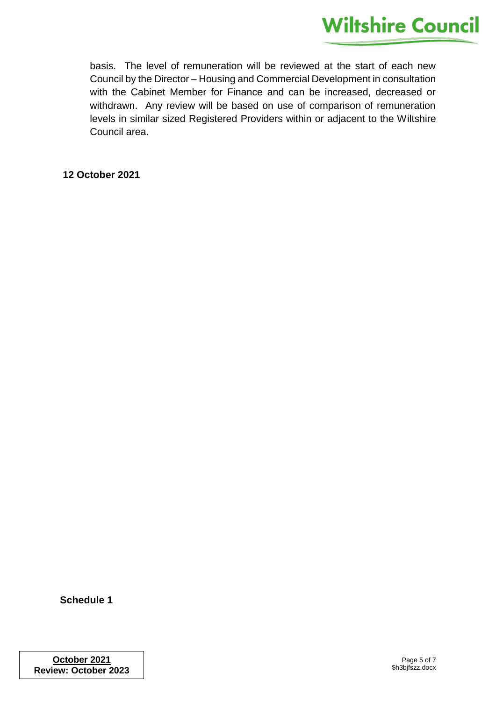basis. The level of remuneration will be reviewed at the start of each new Council by the Director – Housing and Commercial Development in consultation with the Cabinet Member for Finance and can be increased, decreased or withdrawn. Any review will be based on use of comparison of remuneration levels in similar sized Registered Providers within or adjacent to the Wiltshire Council area.

### **12 October 2021**

**Schedule 1**

**October 2021 Review: October 2023**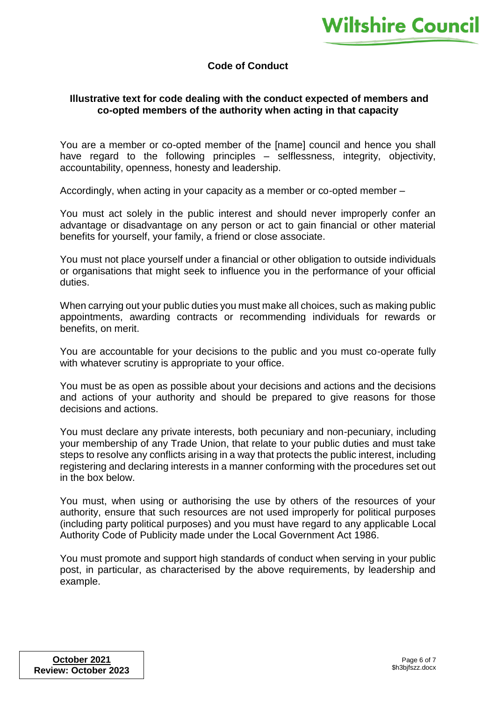# **Code of Conduct**

### **Illustrative text for code dealing with the conduct expected of members and co-opted members of the authority when acting in that capacity**

You are a member or co-opted member of the [name] council and hence you shall have regard to the following principles – selflessness, integrity, objectivity, accountability, openness, honesty and leadership.

Accordingly, when acting in your capacity as a member or co-opted member –

You must act solely in the public interest and should never improperly confer an advantage or disadvantage on any person or act to gain financial or other material benefits for yourself, your family, a friend or close associate.

You must not place yourself under a financial or other obligation to outside individuals or organisations that might seek to influence you in the performance of your official duties.

When carrying out your public duties you must make all choices, such as making public appointments, awarding contracts or recommending individuals for rewards or benefits, on merit.

You are accountable for your decisions to the public and you must co-operate fully with whatever scrutiny is appropriate to your office.

You must be as open as possible about your decisions and actions and the decisions and actions of your authority and should be prepared to give reasons for those decisions and actions.

You must declare any private interests, both pecuniary and non-pecuniary, including your membership of any Trade Union, that relate to your public duties and must take steps to resolve any conflicts arising in a way that protects the public interest, including registering and declaring interests in a manner conforming with the procedures set out in the box below.

You must, when using or authorising the use by others of the resources of your authority, ensure that such resources are not used improperly for political purposes (including party political purposes) and you must have regard to any applicable Local Authority Code of Publicity made under the Local Government Act 1986.

You must promote and support high standards of conduct when serving in your public post, in particular, as characterised by the above requirements, by leadership and example.